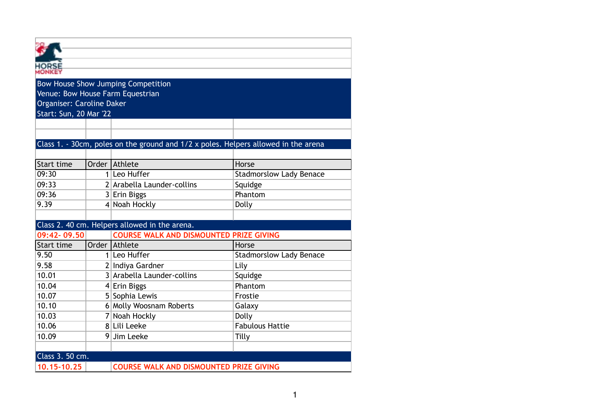|                               |  | Bow House Show Jumping Competition             |                                                                                    |  |  |  |  |  |
|-------------------------------|--|------------------------------------------------|------------------------------------------------------------------------------------|--|--|--|--|--|
|                               |  | Venue: Bow House Farm Equestrian               |                                                                                    |  |  |  |  |  |
| Organiser: Caroline Daker     |  |                                                |                                                                                    |  |  |  |  |  |
| <b>Start: Sun, 20 Mar '22</b> |  |                                                |                                                                                    |  |  |  |  |  |
|                               |  |                                                |                                                                                    |  |  |  |  |  |
|                               |  |                                                |                                                                                    |  |  |  |  |  |
|                               |  |                                                | Class 1. - 30cm, poles on the ground and 1/2 x poles. Helpers allowed in the arena |  |  |  |  |  |
|                               |  |                                                |                                                                                    |  |  |  |  |  |
| Start time                    |  | Order Athlete                                  | Horse                                                                              |  |  |  |  |  |
| 09:30                         |  | 1 Leo Huffer                                   | <b>Stadmorslow Lady Benace</b>                                                     |  |  |  |  |  |
| 09:33                         |  | 2 Arabella Launder-collins                     | Squidge                                                                            |  |  |  |  |  |
| 09:36                         |  | 3 Erin Biggs                                   | Phantom                                                                            |  |  |  |  |  |
| 9.39                          |  | 4 Noah Hockly                                  | Dolly                                                                              |  |  |  |  |  |
|                               |  |                                                |                                                                                    |  |  |  |  |  |
|                               |  | Class 2. 40 cm. Helpers allowed in the arena.  |                                                                                    |  |  |  |  |  |
| 09:42-09.50                   |  | <b>COURSE WALK AND DISMOUNTED PRIZE GIVING</b> |                                                                                    |  |  |  |  |  |
| Start time                    |  | Order Athlete                                  | Horse                                                                              |  |  |  |  |  |
| 9.50                          |  | 1 Leo Huffer                                   | <b>Stadmorslow Lady Benace</b>                                                     |  |  |  |  |  |
| 9.58                          |  | 2 Indiya Gardner                               | Lily                                                                               |  |  |  |  |  |
| 10.01                         |  | 3 Arabella Launder-collins                     | Squidge                                                                            |  |  |  |  |  |
| 10.04                         |  | $4$ Erin Biggs                                 | Phantom                                                                            |  |  |  |  |  |
| 10.07                         |  | 5 Sophia Lewis                                 | Frostie                                                                            |  |  |  |  |  |
| 10.10                         |  | 6 Molly Woosnam Roberts                        | Galaxy                                                                             |  |  |  |  |  |
| 10.03                         |  | 7 Noah Hockly                                  | Dolly                                                                              |  |  |  |  |  |
| 10.06                         |  | 8 Lili Leeke                                   | <b>Fabulous Hattie</b>                                                             |  |  |  |  |  |
| 10.09                         |  | 9 Jim Leeke                                    | Tilly                                                                              |  |  |  |  |  |
|                               |  |                                                |                                                                                    |  |  |  |  |  |
| Class 3. 50 cm.               |  |                                                |                                                                                    |  |  |  |  |  |
| 10.15-10.25                   |  | <b>COURSE WALK AND DISMOUNTED PRIZE GIVING</b> |                                                                                    |  |  |  |  |  |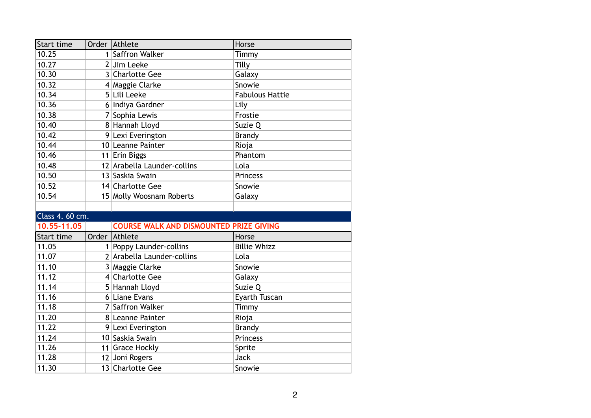| Start time      | Order Athlete                                  | Horse                  |
|-----------------|------------------------------------------------|------------------------|
| 10.25           | 1 Saffron Walker                               | Timmy                  |
| 10.27           | 2 Jim Leeke                                    | Tilly                  |
| 10.30           | 3 Charlotte Gee                                | Galaxy                 |
| 10.32           | 4 Maggie Clarke                                | Snowie                 |
| 10.34           | 5 Lili Leeke                                   | <b>Fabulous Hattie</b> |
| 10.36           | 6 Indiya Gardner                               | Lily                   |
| 10.38           | 7 Sophia Lewis                                 | Frostie                |
| 10.40           | 8 Hannah Lloyd                                 | Suzie Q                |
| 10.42           | 9 Lexi Everington                              | <b>Brandy</b>          |
| 10.44           | 10 Leanne Painter                              | Rioja                  |
| 10.46           | 11 Erin Biggs                                  | Phantom                |
| 10.48           | 12 Arabella Launder-collins                    | Lola                   |
| 10.50           | 13 Saskia Swain                                | <b>Princess</b>        |
| 10.52           | 14 Charlotte Gee                               | Snowie                 |
| 10.54           | 15 Molly Woosnam Roberts                       | Galaxy                 |
|                 |                                                |                        |
| Class 4. 60 cm. |                                                |                        |
| 10.55-11.05     | <b>COURSE WALK AND DISMOUNTED PRIZE GIVING</b> |                        |
| Start time      | Order Athlete                                  | Horse                  |
| 11.05           | 1 Poppy Launder-collins                        | <b>Billie Whizz</b>    |
| 11.07           | 2 Arabella Launder-collins                     | Lola                   |
| 11.10           | 3 Maggie Clarke                                | Snowie                 |
| 11.12           | 4 Charlotte Gee                                | Galaxy                 |
| 11.14           | 5 Hannah Lloyd                                 | Suzie Q                |
| 11.16           | 6 Liane Evans                                  | Eyarth Tuscan          |
| 11.18           | 7 Saffron Walker                               | Timmy                  |
| 11.20           | 8 Leanne Painter                               | Rioja                  |
| 11.22           | 9 Lexi Everington                              | <b>Brandy</b>          |
| 11.24           | 10 Saskia Swain                                | Princess               |
| 11.26           | 11 Grace Hockly                                | Sprite                 |
| 11.28           | 12 Joni Rogers                                 | <b>Jack</b>            |
| 11.30           | 13 Charlotte Gee                               | Snowie                 |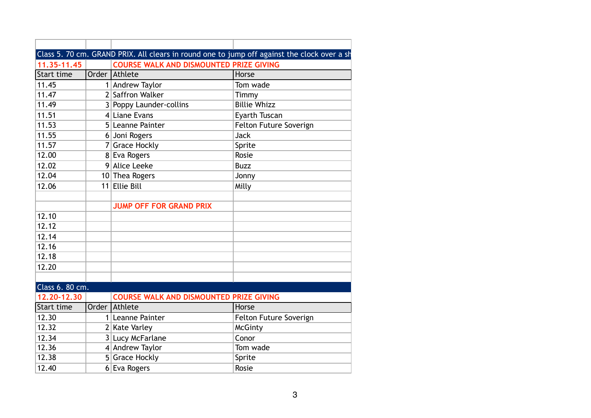|                   | Class 5. 70 cm. GRAND PRIX. All clears in round one to jump off against the clock over a sh |                        |
|-------------------|---------------------------------------------------------------------------------------------|------------------------|
| 11.35-11.45       | <b>COURSE WALK AND DISMOUNTED PRIZE GIVING</b>                                              |                        |
| Start time        | Order Athlete                                                                               | Horse                  |
| 11.45             | 1 Andrew Taylor                                                                             | Tom wade               |
| 11.47             | 2 Saffron Walker                                                                            | Timmy                  |
| 11.49             | 3 Poppy Launder-collins                                                                     | <b>Billie Whizz</b>    |
| 11.51             | 4 Liane Evans                                                                               | Eyarth Tuscan          |
| 11.53             | 5 Leanne Painter                                                                            | Felton Future Soverign |
| 11.55             | 6 Joni Rogers                                                                               | <b>Jack</b>            |
| 11.57             | 7 Grace Hockly                                                                              | Sprite                 |
| 12.00             | 8 Eva Rogers                                                                                | Rosie                  |
| 12.02             | 9 Alice Leeke                                                                               | <b>Buzz</b>            |
| 12.04             | 10 Thea Rogers                                                                              | Jonny                  |
| 12.06             | 11 Ellie Bill                                                                               | Milly                  |
|                   |                                                                                             |                        |
|                   | <b>JUMP OFF FOR GRAND PRIX</b>                                                              |                        |
| 12.10             |                                                                                             |                        |
| 12.12             |                                                                                             |                        |
| 12.14             |                                                                                             |                        |
| 12.16             |                                                                                             |                        |
| 12.18             |                                                                                             |                        |
| 12.20             |                                                                                             |                        |
|                   |                                                                                             |                        |
| Class 6. 80 cm.   |                                                                                             |                        |
| 12.20-12.30       | <b>COURSE WALK AND DISMOUNTED PRIZE GIVING</b>                                              |                        |
| <b>Start time</b> | Order Athlete                                                                               | Horse                  |
| 12.30             | 1 Leanne Painter                                                                            | Felton Future Soverign |
| 12.32             | 2 Kate Varley                                                                               | <b>McGinty</b>         |
| 12.34             | 3 Lucy McFarlane                                                                            | Conor                  |
| 12.36             | 4 Andrew Taylor                                                                             | Tom wade               |
| 12.38             | 5 Grace Hockly                                                                              | Sprite                 |
| 12.40             | 6 Eva Rogers                                                                                | Rosie                  |